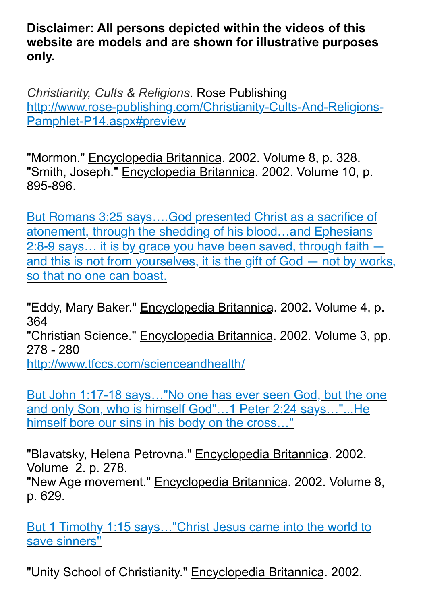**Disclaimer: All persons depicted within the videos of this website are models and are shown for illustrative purposes only.**

*Christianity, Cults & Religions*. Rose Publishing [http://www.rose-publishing.com/Christianity-Cults-And-Religions-](http://www.rose-publishing.com/Christianity-Cults-And-Religions-Pamphlet-P14.aspx%23preview)[Pamphlet-P14.aspx#preview](http://www.rose-publishing.com/Christianity-Cults-And-Religions-Pamphlet-P14.aspx%23preview)

"Mormon." Encyclopedia Britannica. 2002. Volume 8, p. 328. "Smith, Joseph." Encyclopedia Britannica. 2002. Volume 10, p. 895-896.

[But Romans 3:25 says….God presented Christ as a sacrifice of](https://www.biblegateway.com/passage/?search=Romans+3%3A25%2C+Ephesians+2%3A8-9&version=NIV)  [atonement, through the shedding of his blood…and Ephesians](https://www.biblegateway.com/passage/?search=Romans+3%3A25%2C+Ephesians+2%3A8-9&version=NIV)  2:8-9 says... it is by grace you have been saved, through faith [and this is not from yourselves, it is the gift of God — not by works,](https://www.biblegateway.com/passage/?search=Romans+3%3A25%2C+Ephesians+2%3A8-9&version=NIV)  [so that no one can boast.](https://www.biblegateway.com/passage/?search=Romans+3%3A25%2C+Ephesians+2%3A8-9&version=NIV)

"Eddy, Mary Baker." Encyclopedia Britannica. 2002. Volume 4. p. 364 "Christian Science." Encyclopedia Britannica. 2002. Volume 3, pp. 278 - 280 <http://www.tfccs.com/scienceandhealth/>

[But John 1:17-18 says…"No one has ever seen God, but the one](https://www.biblegateway.com/passage/?search=John+1%3A17-18%2C+1+Peter+2%3A24+&version=NIV)  [and only Son, who is himself God"…1 Peter 2:24 says…"...He](https://www.biblegateway.com/passage/?search=John+1%3A17-18%2C+1+Peter+2%3A24+&version=NIV)  [himself bore our sins in his body on the cross…"](https://www.biblegateway.com/passage/?search=John+1%3A17-18%2C+1+Peter+2%3A24+&version=NIV)

"Blavatsky, Helena Petrovna." Encyclopedia Britannica. 2002. Volume 2. p. 278.

"New Age movement." Encyclopedia Britannica. 2002. Volume 8, p. 629.

[But 1 Timothy 1:15 says…"Christ Jesus came into the world to](https://www.biblegateway.com/passage/?search=1+Timothy+1%3A15+&version=NIV)  [save sinners"](https://www.biblegateway.com/passage/?search=1+Timothy+1%3A15+&version=NIV)

"Unity School of Christianity." Encyclopedia Britannica. 2002.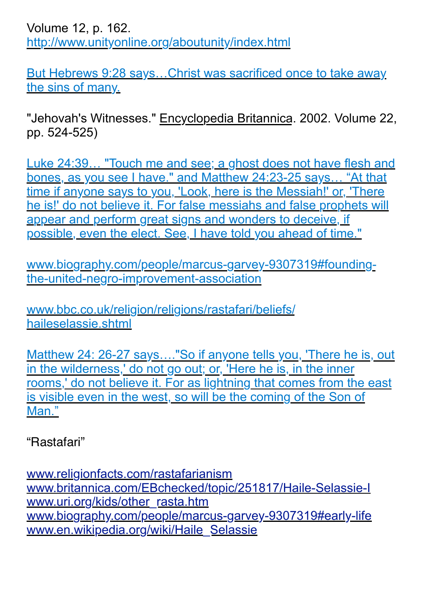Volume 12, p. 162. <http://www.unityonline.org/aboutunity/index.html>

[But Hebrews 9:28 says…Christ was sacrificed once to take away](https://www.biblegateway.com/passage/?search=Hebrews+9%3A28+&version=NIV)  [the sins of many.](https://www.biblegateway.com/passage/?search=Hebrews+9%3A28+&version=NIV)

"Jehovah's Witnesses." Encyclopedia Britannica. 2002. Volume 22, pp. 524-525)

[Luke 24:39… "Touch me and see; a ghost does not have flesh and](https://www.biblegateway.com/passage/?search=Luke+24%3A39%2C++Matthew+24%3A23-25&version=NIV)  [bones, as you see I have." and Matthew 24:23-25 says… "At that](https://www.biblegateway.com/passage/?search=Luke+24%3A39%2C++Matthew+24%3A23-25&version=NIV)  [time if anyone says to you, 'Look, here is the Messiah!' or, 'There](https://www.biblegateway.com/passage/?search=Luke+24%3A39%2C++Matthew+24%3A23-25&version=NIV)  [he is!' do not believe it. For false messiahs and false prophets will](https://www.biblegateway.com/passage/?search=Luke+24%3A39%2C++Matthew+24%3A23-25&version=NIV)  [appear and perform great signs and wonders to deceive, if](https://www.biblegateway.com/passage/?search=Luke+24%3A39%2C++Matthew+24%3A23-25&version=NIV)  [possible, even the elect. See, I have told you ahead of time."](https://www.biblegateway.com/passage/?search=Luke+24%3A39%2C++Matthew+24%3A23-25&version=NIV)

[www.biography.com/people/marcus-garvey-9307319#founding](http://www.biography.com/people/marcus-garvey-9307319%23founding-the-united-negro-improvement-association)[the-united-negro-improvement-association](http://www.biography.com/people/marcus-garvey-9307319%23founding-the-united-negro-improvement-association)

[www.bbc.co.uk/religion/religions/rastafari/beliefs/](http://www.bbc.co.uk/religion/religions/rastafari/beliefs/haileselassie.shtml) [haileselassie.shtml](http://www.bbc.co.uk/religion/religions/rastafari/beliefs/haileselassie.shtml)

[Matthew 24: 26-27 says…."So if anyone tells you, 'There he is, out](https://www.biblegateway.com/passage/?search=Matthew+24%3A+26-27+&version=NIV)  [in the wilderness,' do not go out; or, 'Here he is, in the inner](https://www.biblegateway.com/passage/?search=Matthew+24%3A+26-27+&version=NIV)  [rooms,' do not believe it. For as lightning that comes from the east](https://www.biblegateway.com/passage/?search=Matthew+24%3A+26-27+&version=NIV)  [is visible even in the west, so will be the coming of the Son of](https://www.biblegateway.com/passage/?search=Matthew+24%3A+26-27+&version=NIV)  [Man."](https://www.biblegateway.com/passage/?search=Matthew+24%3A+26-27+&version=NIV)

"Rastafari"

[www.religionfacts.com/rastafarianism](http://www.religionfacts.com/rastafarianism) [www.britannica.com/EBchecked/topic/251817/Haile-Selassie-I](http://www.britannica.com/EBchecked/topic/251817/Haile-Selassie-I) [www.uri.org/kids/other\\_rasta.htm](http://www.uri.org/kids/other_rasta.htm) [www.biography.com/people/marcus-garvey-9307319#early-life](http://www.biography.com/people/marcus-garvey-9307319#early-life) [www.en.wikipedia.org/wiki/Haile\\_Selassie](http://www.en.wikipedia.org/wiki/Haile_Selassie)